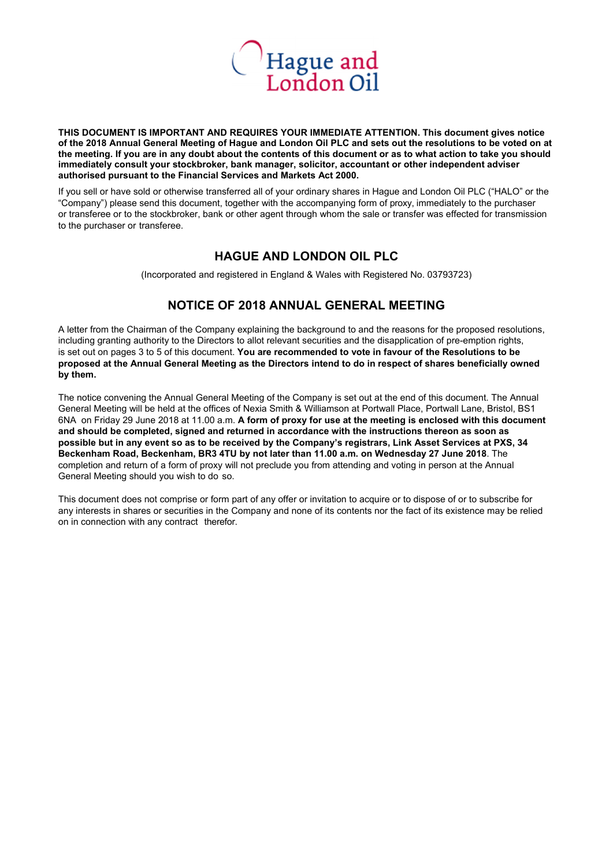

**THIS DOCUMENT IS IMPORTANT AND REQUIRES YOUR IMMEDIATE ATTENTION. This document gives notice of the 2018 Annual General Meeting of Hague and London Oil PLC and sets out the resolutions to be voted on at the meeting. If you are in any doubt about the contents of this document or as to what action to take you should immediately consult your stockbroker, bank manager, solicitor, accountant or other independent adviser authorised pursuant to the Financial Services and Markets Act 2000.** 

If you sell or have sold or otherwise transferred all of your ordinary shares in Hague and London Oil PLC ("HALO" or the "Company") please send this document, together with the accompanying form of proxy, immediately to the purchaser or transferee or to the stockbroker, bank or other agent through whom the sale or transfer was effected for transmission to the purchaser or transferee.

## **HAGUE AND LONDON OIL PLC**

(Incorporated and registered in England & Wales with Registered No. 03793723)

# **NOTICE OF 2018 ANNUAL GENERAL MEETING**

A letter from the Chairman of the Company explaining the background to and the reasons for the proposed resolutions, including granting authority to the Directors to allot relevant securities and the disapplication of pre-emption rights, is set out on pages 3 to 5 of this document. **You are recommended to vote in favour of the Resolutions to be proposed at the Annual General Meeting as the Directors intend to do in respect of shares beneficially owned by them.** 

The notice convening the Annual General Meeting of the Company is set out at the end of this document. The Annual General Meeting will be held at the offices of Nexia Smith & Williamson at Portwall Place, Portwall Lane, Bristol, BS1 6NA on Friday 29 June 2018 at 11.00 a.m. **A form of proxy for use at the meeting is enclosed with this document and should be completed, signed and returned in accordance with the instructions thereon as soon as possible but in any event so as to be received by the Company's registrars, Link Asset Services at PXS, 34 Beckenham Road, Beckenham, BR3 4TU by not later than 11.00 a.m. on Wednesday 27 June 2018**. The completion and return of a form of proxy will not preclude you from attending and voting in person at the Annual General Meeting should you wish to do so.

This document does not comprise or form part of any offer or invitation to acquire or to dispose of or to subscribe for any interests in shares or securities in the Company and none of its contents nor the fact of its existence may be relied on in connection with any contract therefor.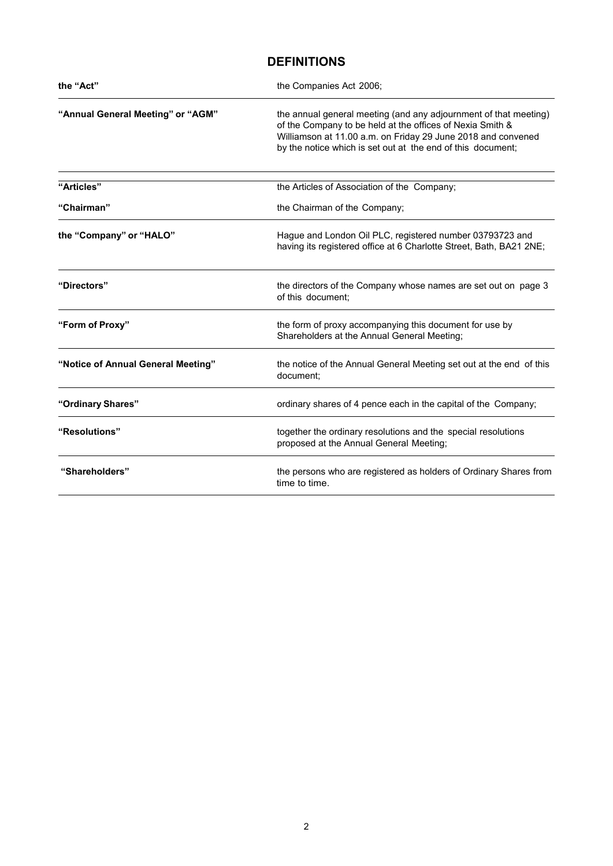# **DEFINITIONS**

| the "Act"                          | the Companies Act 2006;                                                                                                                                                                                                                                      |
|------------------------------------|--------------------------------------------------------------------------------------------------------------------------------------------------------------------------------------------------------------------------------------------------------------|
| "Annual General Meeting" or "AGM"  | the annual general meeting (and any adjournment of that meeting)<br>of the Company to be held at the offices of Nexia Smith &<br>Williamson at 11.00 a.m. on Friday 29 June 2018 and convened<br>by the notice which is set out at the end of this document; |
| "Articles"                         | the Articles of Association of the Company;                                                                                                                                                                                                                  |
| "Chairman"                         | the Chairman of the Company;                                                                                                                                                                                                                                 |
| the "Company" or "HALO"            | Hague and London Oil PLC, registered number 03793723 and<br>having its registered office at 6 Charlotte Street, Bath, BA21 2NE;                                                                                                                              |
| "Directors"                        | the directors of the Company whose names are set out on page 3<br>of this document:                                                                                                                                                                          |
| "Form of Proxy"                    | the form of proxy accompanying this document for use by<br>Shareholders at the Annual General Meeting;                                                                                                                                                       |
| "Notice of Annual General Meeting" | the notice of the Annual General Meeting set out at the end of this<br>document:                                                                                                                                                                             |
| "Ordinary Shares"                  | ordinary shares of 4 pence each in the capital of the Company;                                                                                                                                                                                               |
| "Resolutions"                      | together the ordinary resolutions and the special resolutions<br>proposed at the Annual General Meeting;                                                                                                                                                     |
| "Shareholders"                     | the persons who are registered as holders of Ordinary Shares from<br>time to time.                                                                                                                                                                           |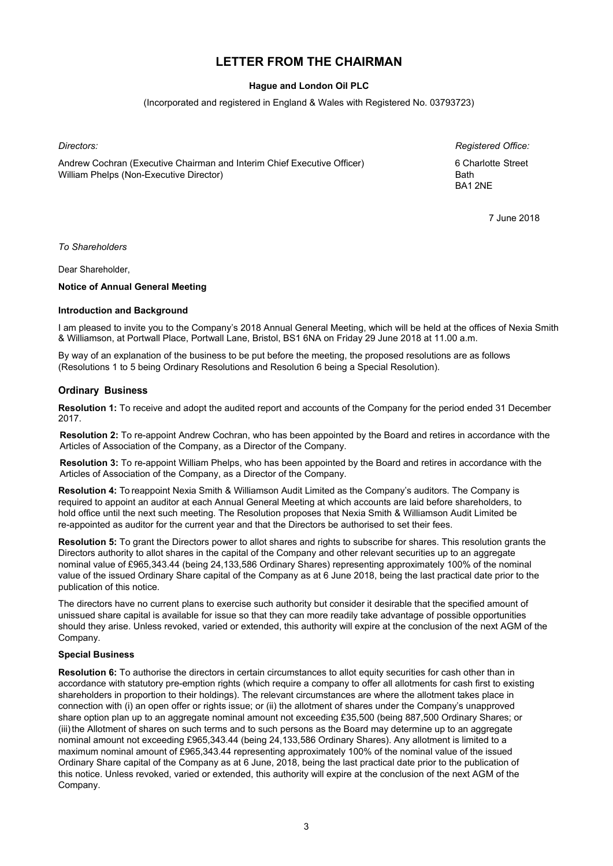# **LETTER FROM THE CHAIRMAN**

## **Hague and London Oil PLC**

(Incorporated and registered in England & Wales with Registered No. 03793723)

Andrew Cochran (Executive Chairman and Interim Chief Executive Officer) 6 Charlotte Street William Phelps (Non-Executive Director) Bath

*Directors: Registered Office:*  BA1 2NE

7 June 2018

*To Shareholders* 

Dear Shareholder,

**Notice of Annual General Meeting** 

#### **Introduction and Background**

I am pleased to invite you to the Company's 2018 Annual General Meeting, which will be held at the offices of Nexia Smith & Williamson, at Portwall Place, Portwall Lane, Bristol, BS1 6NA on Friday 29 June 2018 at 11.00 a.m.

By way of an explanation of the business to be put before the meeting, the proposed resolutions are as follows (Resolutions 1 to 5 being Ordinary Resolutions and Resolution 6 being a Special Resolution).

#### **Ordinary Business**

**Resolution 1:** To receive and adopt the audited report and accounts of the Company for the period ended 31 December 2017.

**Resolution 2:** To re-appoint Andrew Cochran, who has been appointed by the Board and retires in accordance with the Articles of Association of the Company, as a Director of the Company.

**Resolution 3:** To re-appoint William Phelps, who has been appointed by the Board and retires in accordance with the Articles of Association of the Company, as a Director of the Company.

**Resolution 4:** To reappoint Nexia Smith & Williamson Audit Limited as the Company's auditors. The Company is required to appoint an auditor at each Annual General Meeting at which accounts are laid before shareholders, to hold office until the next such meeting. The Resolution proposes that Nexia Smith & Williamson Audit Limited be re-appointed as auditor for the current year and that the Directors be authorised to set their fees.

**Resolution 5:** To grant the Directors power to allot shares and rights to subscribe for shares. This resolution grants the Directors authority to allot shares in the capital of the Company and other relevant securities up to an aggregate nominal value of £965,343.44 (being 24,133,586 Ordinary Shares) representing approximately 100% of the nominal value of the issued Ordinary Share capital of the Company as at 6 June 2018, being the last practical date prior to the publication of this notice.

The directors have no current plans to exercise such authority but consider it desirable that the specified amount of unissued share capital is available for issue so that they can more readily take advantage of possible opportunities should they arise. Unless revoked, varied or extended, this authority will expire at the conclusion of the next AGM of the Company.

#### **Special Business**

**Resolution 6:** To authorise the directors in certain circumstances to allot equity securities for cash other than in accordance with statutory pre-emption rights (which require a company to offer all allotments for cash first to existing shareholders in proportion to their holdings). The relevant circumstances are where the allotment takes place in connection with (i) an open offer or rights issue; or (ii) the allotment of shares under the Company's unapproved share option plan up to an aggregate nominal amount not exceeding £35,500 (being 887,500 Ordinary Shares; or (iii) the Allotment of shares on such terms and to such persons as the Board may determine up to an aggregate nominal amount not exceeding £965,343.44 (being 24,133,586 Ordinary Shares). Any allotment is limited to a maximum nominal amount of £965,343.44 representing approximately 100% of the nominal value of the issued Ordinary Share capital of the Company as at 6 June, 2018, being the last practical date prior to the publication of this notice. Unless revoked, varied or extended, this authority will expire at the conclusion of the next AGM of the Company.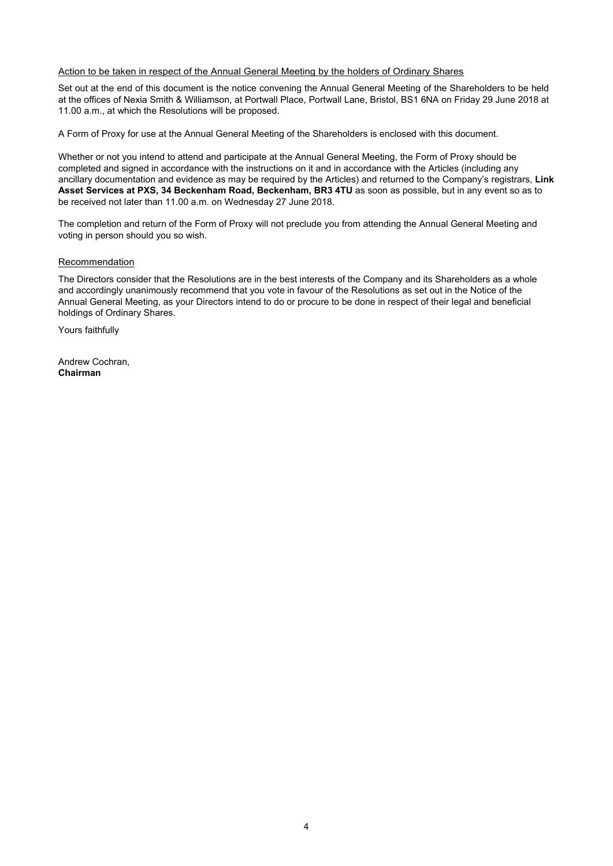#### Action to be taken in respect of the Annual General Meeting by the holders of Ordinary Shares

Set out at the end of this document is the notice convening the Annual General Meeting of the Shareholders to be held at the offices of Nexia Smith & Williamson, at Portwall Place, Portwall Lane, Bristol, BS1 6NA on Friday 29 June 2018 at 11.00 a.m., at which the Resolutions will be proposed.

A Form of Proxy for use at the Annual General Meeting of the Shareholders is enclosed with this document.

Whether or not you intend to attend and participate at the Annual General Meeting, the Form of Proxy should be completed and signed in accordance with the instructions on it and in accordance with the Articles (including any ancillary documentation and evidence as may be required by the Articles) and returned to the Company's registrars, **Link Asset Services at PXS, 34 Beckenham Road, Beckenham, BR3 4TU** as soon as possible, but in any event so as to be received not later than 11.00 a.m. on Wednesday 27 June 2018.

The completion and return of the Form of Proxy will not preclude you from attending the Annual General Meeting and voting in person should you so wish.

#### **Recommendation**

The Directors consider that the Resolutions are in the best interests of the Company and its Shareholders as a whole and accordingly unanimously recommend that you vote in favour of the Resolutions as set out in the Notice of the Annual General Meeting, as your Directors intend to do or procure to be done in respect of their legal and beneficial holdings of Ordinary Shares.

Yours faithfully

Andrew Cochran, **Chairman**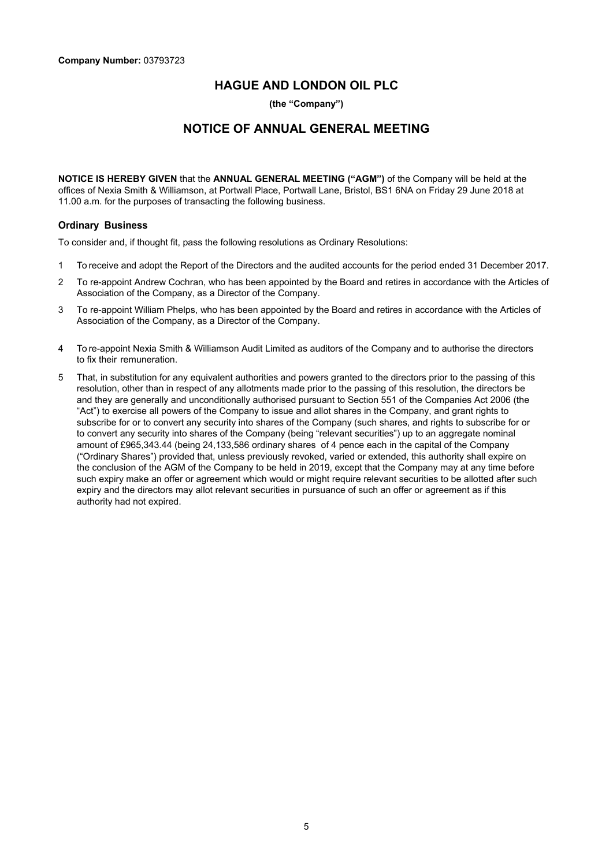## **HAGUE AND LONDON OIL PLC**

**(the "Company")** 

# **NOTICE OF ANNUAL GENERAL MEETING**

**NOTICE IS HEREBY GIVEN** that the **ANNUAL GENERAL MEETING ("AGM")** of the Company will be held at the offices of Nexia Smith & Williamson, at Portwall Place, Portwall Lane, Bristol, BS1 6NA on Friday 29 June 2018 at 11.00 a.m. for the purposes of transacting the following business.

### **Ordinary Business**

To consider and, if thought fit, pass the following resolutions as Ordinary Resolutions:

- 1 To receive and adopt the Report of the Directors and the audited accounts for the period ended 31 December 2017.
- 2 To re-appoint Andrew Cochran, who has been appointed by the Board and retires in accordance with the Articles of Association of the Company, as a Director of the Company.
- 3 To re-appoint William Phelps, who has been appointed by the Board and retires in accordance with the Articles of Association of the Company, as a Director of the Company.
- 4 To re-appoint Nexia Smith & Williamson Audit Limited as auditors of the Company and to authorise the directors to fix their remuneration.
- 5 That, in substitution for any equivalent authorities and powers granted to the directors prior to the passing of this resolution, other than in respect of any allotments made prior to the passing of this resolution, the directors be and they are generally and unconditionally authorised pursuant to Section 551 of the Companies Act 2006 (the "Act") to exercise all powers of the Company to issue and allot shares in the Company, and grant rights to subscribe for or to convert any security into shares of the Company (such shares, and rights to subscribe for or to convert any security into shares of the Company (being "relevant securities") up to an aggregate nominal amount of £965,343.44 (being 24,133,586 ordinary shares of 4 pence each in the capital of the Company ("Ordinary Shares") provided that, unless previously revoked, varied or extended, this authority shall expire on the conclusion of the AGM of the Company to be held in 2019, except that the Company may at any time before such expiry make an offer or agreement which would or might require relevant securities to be allotted after such expiry and the directors may allot relevant securities in pursuance of such an offer or agreement as if this authority had not expired.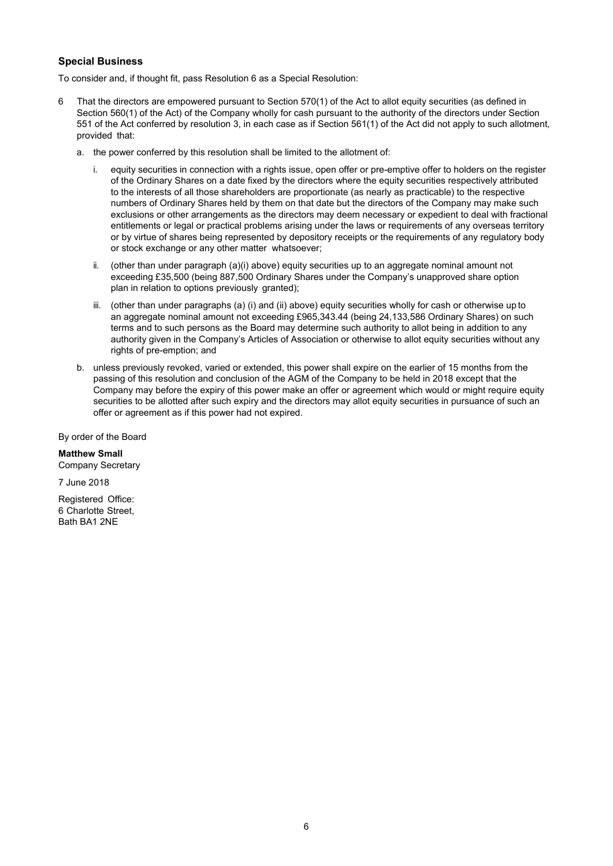## **Special Business**

To consider and, if thought fit, pass Resolution 6 as a Special Resolution:

- 6 That the directors are empowered pursuant to Section 570(1) of the Act to allot equity securities (as defined in Section 560(1) of the Act) of the Company wholly for cash pursuant to the authority of the directors under Section 551 of the Act conferred by resolution 3, in each case as if Section 561(1) of the Act did not apply to such allotment, provided that:
	- a. the power conferred by this resolution shall be limited to the allotment of:
		- i. equity securities in connection with a rights issue, open offer or pre-emptive offer to holders on the register of the Ordinary Shares on a date fixed by the directors where the equity securities respectively attributed to the interests of all those shareholders are proportionate (as nearly as practicable) to the respective numbers of Ordinary Shares held by them on that date but the directors of the Company may make such exclusions or other arrangements as the directors may deem necessary or expedient to deal with fractional entitlements or legal or practical problems arising under the laws or requirements of any overseas territory or by virtue of shares being represented by depository receipts or the requirements of any regulatory body or stock exchange or any other matter whatsoever;
		- ii. (other than under paragraph (a)(i) above) equity securities up to an aggregate nominal amount not exceeding £35,500 (being 887,500 Ordinary Shares under the Company's unapproved share option plan in relation to options previously granted);
		- iii. (other than under paragraphs (a) (i) and (ii) above) equity securities wholly for cash or otherwise up to an aggregate nominal amount not exceeding £965,343.44 (being 24,133,586 Ordinary Shares) on such terms and to such persons as the Board may determine such authority to allot being in addition to any authority given in the Company's Articles of Association or otherwise to allot equity securities without any rights of pre-emption; and
	- b. unless previously revoked, varied or extended, this power shall expire on the earlier of 15 months from the passing of this resolution and conclusion of the AGM of the Company to be held in 2018 except that the Company may before the expiry of this power make an offer or agreement which would or might require equity securities to be allotted after such expiry and the directors may allot equity securities in pursuance of such an offer or agreement as if this power had not expired.

By order of the Board

**Matthew Small**  Company Secretary

7 June 2018

Registered Office: 6 Charlotte Street, Bath BA1 2NE